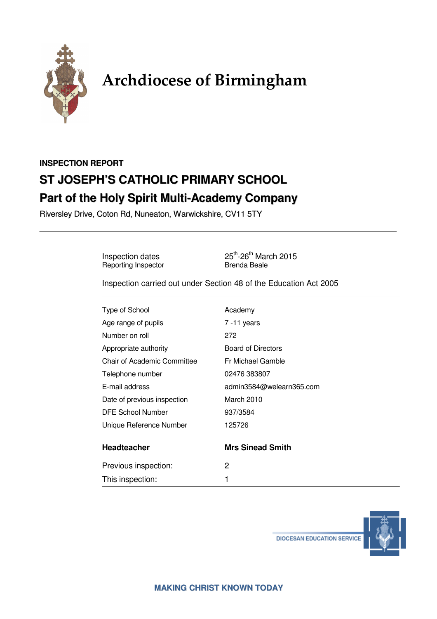

# Archdiocese of Birmingham

## **INSPECTION REPORT ST JOSEPH'S CATHOLIC PRIMARY SCHOOL Part of the Holy Spirit Multi-Academy Company**

Riversley Drive, Coton Rd, Nuneaton, Warwickshire, CV11 5TY

Reporting Inspector

Inspection dates 25<sup>th</sup>-26<sup>th</sup> March 2015<br>
Reporting Inspector Brenda Beale

Inspection carried out under Section 48 of the Education Act 2005

| Type of School              | Academy                   |
|-----------------------------|---------------------------|
| Age range of pupils         | $7 - 11$ years            |
| Number on roll              | 272                       |
| Appropriate authority       | <b>Board of Directors</b> |
| Chair of Academic Committee | Fr Michael Gamble         |
| Telephone number            | 02476 383807              |
| E-mail address              | admin3584@welearn365.com  |
| Date of previous inspection | March 2010                |
| <b>DFE School Number</b>    | 937/3584                  |
| Unique Reference Number     | 125726                    |
| <b>Headteacher</b>          | <b>Mrs Sinead Smith</b>   |
| Previous inspection:        | 2                         |
| This inspection:            | 1                         |



**DIOCESAN EDUCATION SERVICE**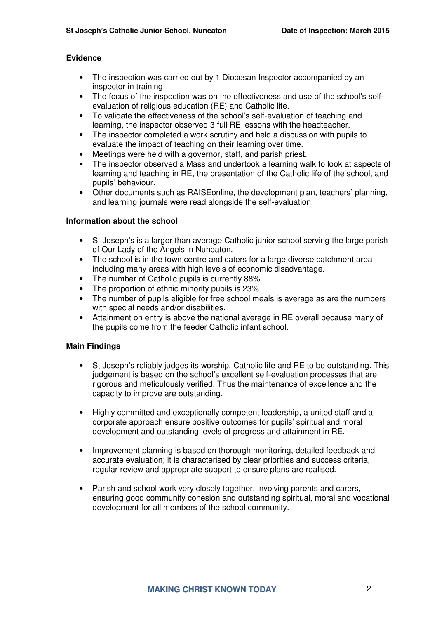#### **Evidence**

- The inspection was carried out by 1 Diocesan Inspector accompanied by an inspector in training
- The focus of the inspection was on the effectiveness and use of the school's selfevaluation of religious education (RE) and Catholic life.
- To validate the effectiveness of the school's self-evaluation of teaching and learning, the inspector observed 3 full RE lessons with the headteacher.
- The inspector completed a work scrutiny and held a discussion with pupils to evaluate the impact of teaching on their learning over time.
- Meetings were held with a governor, staff, and parish priest.
- The inspector observed a Mass and undertook a learning walk to look at aspects of learning and teaching in RE, the presentation of the Catholic life of the school, and pupils' behaviour.
- Other documents such as RAISEonline, the development plan, teachers' planning, and learning journals were read alongside the self-evaluation.

#### **Information about the school**

- St Joseph's is a larger than average Catholic junior school serving the large parish of Our Lady of the Angels in Nuneaton.
- The school is in the town centre and caters for a large diverse catchment area including many areas with high levels of economic disadvantage.
- The number of Catholic pupils is currently 88%.
- The proportion of ethnic minority pupils is 23%.
- The number of pupils eligible for free school meals is average as are the numbers with special needs and/or disabilities.
- Attainment on entry is above the national average in RE overall because many of the pupils come from the feeder Catholic infant school.

#### **Main Findings**

- St Joseph's reliably judges its worship, Catholic life and RE to be outstanding. This judgement is based on the school's excellent self-evaluation processes that are rigorous and meticulously verified. Thus the maintenance of excellence and the capacity to improve are outstanding.
- Highly committed and exceptionally competent leadership, a united staff and a corporate approach ensure positive outcomes for pupils' spiritual and moral development and outstanding levels of progress and attainment in RE.
- Improvement planning is based on thorough monitoring, detailed feedback and accurate evaluation; it is characterised by clear priorities and success criteria, regular review and appropriate support to ensure plans are realised.
- Parish and school work very closely together, involving parents and carers, ensuring good community cohesion and outstanding spiritual, moral and vocational development for all members of the school community.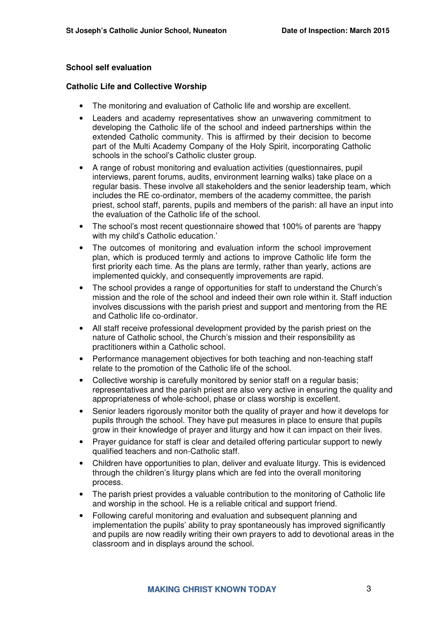#### **School self evaluation**

#### **Catholic Life and Collective Worship**

- The monitoring and evaluation of Catholic life and worship are excellent.
- Leaders and academy representatives show an unwavering commitment to developing the Catholic life of the school and indeed partnerships within the extended Catholic community. This is affirmed by their decision to become part of the Multi Academy Company of the Holy Spirit, incorporating Catholic schools in the school's Catholic cluster group.
- A range of robust monitoring and evaluation activities (questionnaires, pupil interviews, parent forums, audits, environment learning walks) take place on a regular basis. These involve all stakeholders and the senior leadership team, which includes the RE co-ordinator, members of the academy committee, the parish priest, school staff, parents, pupils and members of the parish: all have an input into the evaluation of the Catholic life of the school.
- The school's most recent questionnaire showed that 100% of parents are 'happy with my child's Catholic education.'
- The outcomes of monitoring and evaluation inform the school improvement plan, which is produced termly and actions to improve Catholic life form the first priority each time. As the plans are termly, rather than yearly, actions are implemented quickly, and consequently improvements are rapid.
- The school provides a range of opportunities for staff to understand the Church's mission and the role of the school and indeed their own role within it. Staff induction involves discussions with the parish priest and support and mentoring from the RE and Catholic life co-ordinator.
- All staff receive professional development provided by the parish priest on the nature of Catholic school, the Church's mission and their responsibility as practitioners within a Catholic school.
- Performance management objectives for both teaching and non-teaching staff relate to the promotion of the Catholic life of the school.
- Collective worship is carefully monitored by senior staff on a regular basis; representatives and the parish priest are also very active in ensuring the quality and appropriateness of whole-school, phase or class worship is excellent.
- Senior leaders rigorously monitor both the quality of prayer and how it develops for pupils through the school. They have put measures in place to ensure that pupils grow in their knowledge of prayer and liturgy and how it can impact on their lives.
- Prayer guidance for staff is clear and detailed offering particular support to newly qualified teachers and non-Catholic staff.
- Children have opportunities to plan, deliver and evaluate liturgy. This is evidenced through the children's liturgy plans which are fed into the overall monitoring process.
- The parish priest provides a valuable contribution to the monitoring of Catholic life and worship in the school. He is a reliable critical and support friend.
- Following careful monitoring and evaluation and subsequent planning and implementation the pupils' ability to pray spontaneously has improved significantly and pupils are now readily writing their own prayers to add to devotional areas in the classroom and in displays around the school.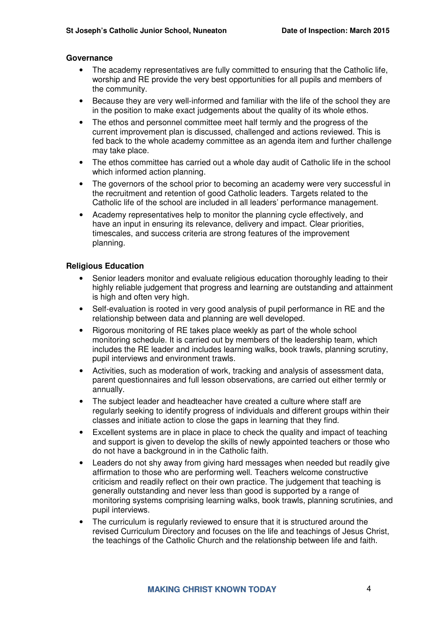#### **Governance**

- The academy representatives are fully committed to ensuring that the Catholic life. worship and RE provide the very best opportunities for all pupils and members of the community.
- Because they are very well-informed and familiar with the life of the school they are in the position to make exact judgements about the quality of its whole ethos.
- The ethos and personnel committee meet half termly and the progress of the current improvement plan is discussed, challenged and actions reviewed. This is fed back to the whole academy committee as an agenda item and further challenge may take place.
- The ethos committee has carried out a whole day audit of Catholic life in the school which informed action planning.
- The governors of the school prior to becoming an academy were very successful in the recruitment and retention of good Catholic leaders. Targets related to the Catholic life of the school are included in all leaders' performance management.
- Academy representatives help to monitor the planning cycle effectively, and have an input in ensuring its relevance, delivery and impact. Clear priorities, timescales, and success criteria are strong features of the improvement planning.

#### **Religious Education**

- Senior leaders monitor and evaluate religious education thoroughly leading to their highly reliable judgement that progress and learning are outstanding and attainment is high and often very high.
- Self-evaluation is rooted in very good analysis of pupil performance in RE and the relationship between data and planning are well developed.
- Rigorous monitoring of RE takes place weekly as part of the whole school monitoring schedule. It is carried out by members of the leadership team, which includes the RE leader and includes learning walks, book trawls, planning scrutiny, pupil interviews and environment trawls.
- Activities, such as moderation of work, tracking and analysis of assessment data, parent questionnaires and full lesson observations, are carried out either termly or annually.
- The subject leader and headteacher have created a culture where staff are regularly seeking to identify progress of individuals and different groups within their classes and initiate action to close the gaps in learning that they find.
- Excellent systems are in place in place to check the quality and impact of teaching and support is given to develop the skills of newly appointed teachers or those who do not have a background in in the Catholic faith.
- Leaders do not shy away from giving hard messages when needed but readily give affirmation to those who are performing well. Teachers welcome constructive criticism and readily reflect on their own practice. The judgement that teaching is generally outstanding and never less than good is supported by a range of monitoring systems comprising learning walks, book trawls, planning scrutinies, and pupil interviews.
- The curriculum is regularly reviewed to ensure that it is structured around the revised Curriculum Directory and focuses on the life and teachings of Jesus Christ, the teachings of the Catholic Church and the relationship between life and faith.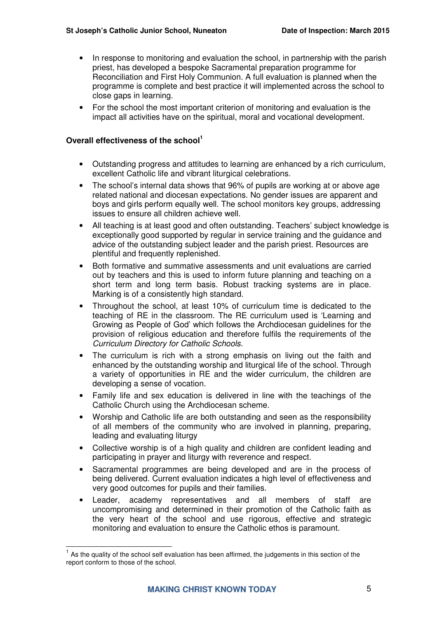- In response to monitoring and evaluation the school, in partnership with the parish priest, has developed a bespoke Sacramental preparation programme for Reconciliation and First Holy Communion. A full evaluation is planned when the programme is complete and best practice it will implemented across the school to close gaps in learning.
- For the school the most important criterion of monitoring and evaluation is the impact all activities have on the spiritual, moral and vocational development.

#### **Overall effectiveness of the school<sup>1</sup>**

 $\overline{a}$ 

- Outstanding progress and attitudes to learning are enhanced by a rich curriculum, excellent Catholic life and vibrant liturgical celebrations.
- The school's internal data shows that 96% of pupils are working at or above age related national and diocesan expectations. No gender issues are apparent and boys and girls perform equally well. The school monitors key groups, addressing issues to ensure all children achieve well.
- All teaching is at least good and often outstanding. Teachers' subject knowledge is exceptionally good supported by regular in service training and the guidance and advice of the outstanding subject leader and the parish priest. Resources are plentiful and frequently replenished.
- Both formative and summative assessments and unit evaluations are carried out by teachers and this is used to inform future planning and teaching on a short term and long term basis. Robust tracking systems are in place. Marking is of a consistently high standard.
- Throughout the school, at least 10% of curriculum time is dedicated to the teaching of RE in the classroom. The RE curriculum used is 'Learning and Growing as People of God' which follows the Archdiocesan guidelines for the provision of religious education and therefore fulfils the requirements of the Curriculum Directory for Catholic Schools.
- The curriculum is rich with a strong emphasis on living out the faith and enhanced by the outstanding worship and liturgical life of the school. Through a variety of opportunities in RE and the wider curriculum, the children are developing a sense of vocation.
- Family life and sex education is delivered in line with the teachings of the Catholic Church using the Archdiocesan scheme.
- Worship and Catholic life are both outstanding and seen as the responsibility of all members of the community who are involved in planning, preparing, leading and evaluating liturgy
- Collective worship is of a high quality and children are confident leading and participating in prayer and liturgy with reverence and respect.
- Sacramental programmes are being developed and are in the process of being delivered. Current evaluation indicates a high level of effectiveness and very good outcomes for pupils and their families.
- Leader, academy representatives and all members of staff are uncompromising and determined in their promotion of the Catholic faith as the very heart of the school and use rigorous, effective and strategic monitoring and evaluation to ensure the Catholic ethos is paramount.

 $<sup>1</sup>$  As the quality of the school self evaluation has been affirmed, the judgements in this section of the</sup> report conform to those of the school.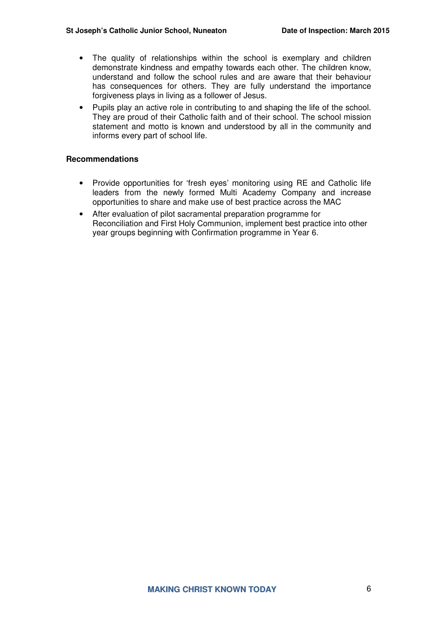- The quality of relationships within the school is exemplary and children demonstrate kindness and empathy towards each other. The children know, understand and follow the school rules and are aware that their behaviour has consequences for others. They are fully understand the importance forgiveness plays in living as a follower of Jesus.
- Pupils play an active role in contributing to and shaping the life of the school. They are proud of their Catholic faith and of their school. The school mission statement and motto is known and understood by all in the community and informs every part of school life.

#### **Recommendations**

- Provide opportunities for 'fresh eyes' monitoring using RE and Catholic life leaders from the newly formed Multi Academy Company and increase opportunities to share and make use of best practice across the MAC
- After evaluation of pilot sacramental preparation programme for Reconciliation and First Holy Communion, implement best practice into other year groups beginning with Confirmation programme in Year 6.